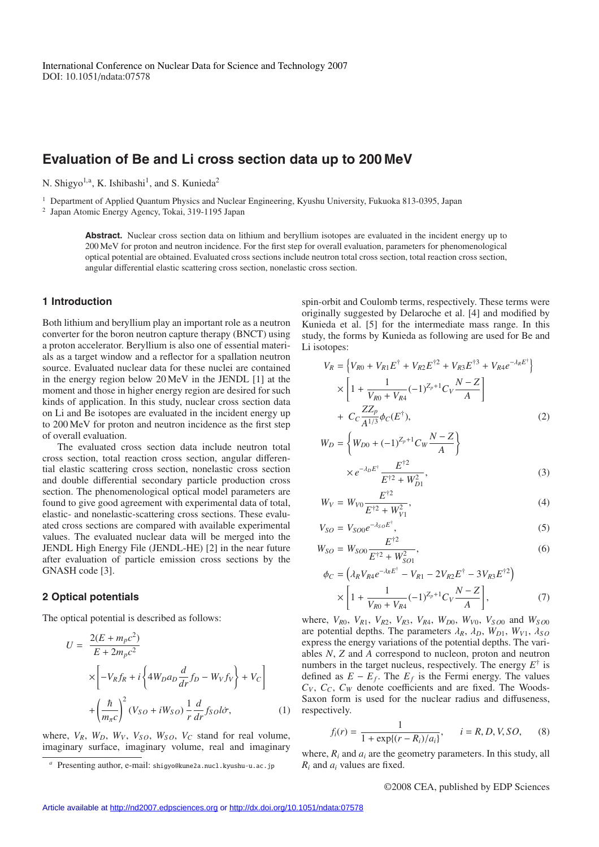# **Evaluation of Be and Li cross section data up to 200 MeV**

N. Shigyo<sup>1,a</sup>, K. Ishibashi<sup>1</sup>, and S. Kunieda<sup>2</sup>

<sup>1</sup> Department of Applied Quantum Physics and Nuclear Engineering, Kyushu University, Fukuoka 813-0395, Japan <sup>2</sup> Japan Atomic Energy Agency, Tokai, 319-1195 Japan

**Abstract.** Nuclear cross section data on lithium and beryllium isotopes are evaluated in the incident energy up to 200 MeV for proton and neutron incidence. For the first step for overall evaluation, parameters for phenomenological optical potential are obtained. Evaluated cross sections include neutron total cross section, total reaction cross section, angular differential elastic scattering cross section, nonelastic cross section.

### **1 Introduction**

Both lithium and beryllium play an important role as a neutron converter for the boron neutron capture therapy (BNCT) using a proton accelerator. Beryllium is also one of essential materials as a target window and a reflector for a spallation neutron source. Evaluated nuclear data for these nuclei are contained in the energy region below 20 MeV in the JENDL [1] at the moment and those in higher energy region are desired for such kinds of application. In this study, nuclear cross section data on Li and Be isotopes are evaluated in the incident energy up to 200 MeV for proton and neutron incidence as the first step of overall evaluation.

The evaluated cross section data include neutron total cross section, total reaction cross section, angular differential elastic scattering cross section, nonelastic cross section and double differential secondary particle production cross section. The phenomenological optical model parameters are found to give good agreement with experimental data of total, elastic- and nonelastic-scattering cross sections. These evaluated cross sections are compared with available experimental values. The evaluated nuclear data will be merged into the JENDL High Energy File (JENDL-HE) [2] in the near future after evaluation of particle emission cross sections by the GNASH code [3].

## **2 Optical potentials**

The optical potential is described as follows:

$$
U = \frac{2(E + m_p c^2)}{E + 2m_p c^2}
$$
  
 
$$
\times \left[ -V_R f_R + i \left\{ 4W_D a_D \frac{d}{dr} f_D - W_V f_V \right\} + V_C \right]
$$
  
 
$$
+ \left( \frac{\hbar}{m_\pi c} \right)^2 (V_{SO} + iW_{SO}) \frac{1}{r} \frac{d}{dr} f_{SO} l \dot{\sigma}, \qquad (1)
$$

where,  $V_R$ ,  $W_D$ ,  $W_V$ ,  $V_{SO}$ ,  $W_{SO}$ ,  $V_C$  stand for real volume, imaginary surface, imaginary volume, real and imaginary

spin-orbit and Coulomb terms, respectively. These terms were originally suggested by Delaroche et al. [4] and modified by Kunieda et al. [5] for the intermediate mass range. In this study, the forms by Kunieda as following are used for Be and Li isotopes:

$$
V_R = \left\{ V_{R0} + V_{R1} E^{\dagger} + V_{R2} E^{\dagger 2} + V_{R3} E^{\dagger 3} + V_{R4} e^{-\lambda_R E^{\dagger}} \right\}
$$
  
 
$$
\times \left[ 1 + \frac{1}{V_{R0} + V_{R4}} (-1)^{Z_p + 1} C_V \frac{N - Z}{A} \right]
$$
  
+ 
$$
C_C \frac{Z Z_p}{A^{1/3}} \phi_C(E^{\dagger}),
$$
 (2)

$$
W_D = \left\{ W_{D0} + (-1)^{Z_p + 1} C_W \frac{N - Z}{A} \right\}
$$
  
 
$$
\times e^{-\lambda_D E^{\dagger}} \frac{E^{\dagger 2}}{E^{\dagger 2} + W_{D1}^2},
$$
 (3)

$$
W_V = W_{V0} \frac{E^{\dagger 2}}{\Gamma^{\dagger 2}}, \tag{4}
$$

$$
WV = WV_0 E^{\dagger 2} + W_{VI}^2
$$

$$
V_{SO} = V_{SO0}e^{-\lambda_{SO}E^{\dagger}},
$$
\n
$$
W = \frac{E^{\dagger 2}}{}
$$
\n
$$
(5)
$$

$$
W_{SO} = W_{SO0} \frac{E}{E^{\dagger 2} + W_{SO1}^2},\tag{6}
$$

$$
\phi_C = \left(\lambda_R V_{R4} e^{-\lambda_R E^{\dagger}} - V_{R1} - 2V_{R2} E^{\dagger} - 3V_{R3} E^{\dagger 2}\right) \times \left[1 + \frac{1}{V_{R0} + V_{R4}} (-1)^{Z_p + 1} C_V \frac{N - Z}{A}\right],
$$
\n(7)

where,  $V_{R0}$ ,  $V_{R1}$ ,  $V_{R2}$ ,  $V_{R3}$ ,  $V_{R4}$ ,  $W_{D0}$ ,  $W_{V0}$ ,  $V_{S O0}$  and  $W_{S O0}$ are potential depths. The parameters  $\lambda_R$ ,  $\lambda_D$ ,  $W_{D1}$ ,  $W_{V1}$ ,  $\lambda_{SO}$ express the energy variations of the potential depths. The variables *N*, *Z* and *A* correspond to nucleon, proton and neutron numbers in the target nucleus, respectively. The energy  $E^{\dagger}$  is defined as  $E - E_f$ . The  $E_f$  is the Fermi energy. The values  $C_V$ ,  $C_C$ ,  $C_W$  denote coefficients and are fixed. The Woods-Saxon form is used for the nuclear radius and diffuseness, respectively.

$$
f_i(r) = \frac{1}{1 + \exp\{(r - R_i)/a_i\}}, \quad i = R, D, V, SO,
$$
 (8)

where,  $R_i$  and  $a_i$  are the geometry parameters. In this study, all *Ri* and *ai* values are fixed.

*<sup>a</sup>* Presenting author, e-mail: shigyo@kune2a.nucl.kyushu-u.ac.jp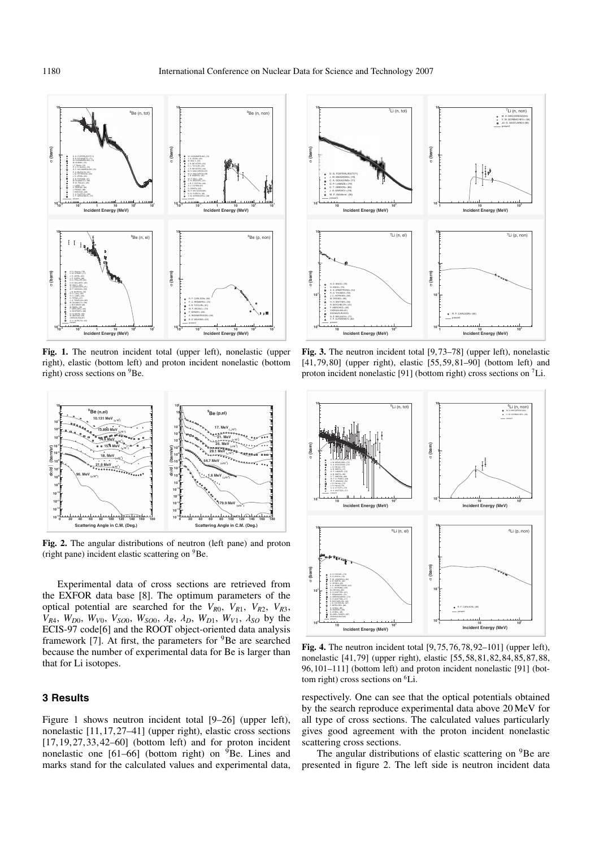

**Fig. 1.** The neutron incident total (upper left), nonelastic (upper right), elastic (bottom left) and proton incident nonelastic (bottom right) cross sections on  ${}^{9}$ Be.



**Fig. 2.** The angular distributions of neutron (left pane) and proton (right pane) incident elastic scattering on  ${}^{9}$ Be.

Experimental data of cross sections are retrieved from the EXFOR data base [8]. The optimum parameters of the optical potential are searched for the  $V_{R0}$ ,  $V_{R1}$ ,  $V_{R2}$ ,  $V_{R3}$ , *V<sub>R4</sub>*,  $W_{D0}$ ,  $W_{V0}$ ,  $V_{SO0}$ ,  $W_{SO0}$ ,  $\lambda_R$ ,  $\lambda_D$ ,  $W_{D1}$ ,  $W_{V1}$ ,  $\lambda_{SO}$  by the ECIS-97 code[6] and the ROOT object-oriented data analysis framework [7]. At first, the parameters for  ${}^{9}$ Be are searched because the number of experimental data for Be is larger than that for Li isotopes.

## **3 Results**

Figure 1 shows neutron incident total [9–26] (upper left), nonelastic [11, 17, 27–41] (upper right), elastic cross sections  $[17, 19, 27, 33, 42–60]$  (bottom left) and for proton incident nonelastic one  $[61–66]$  (bottom right) on  ${}^{9}$ Be. Lines and marks stand for the calculated values and experimental data,



Fig. 3. The neutron incident total [9,73–78] (upper left), nonelastic [41, 79, 80] (upper right), elastic [55, 59, 81-90] (bottom left) and proton incident nonelastic [91] (bottom right) cross sections on 7Li.



**Fig. 4.** The neutron incident total [9, 75, 76, 78, 92–101] (upper left), nonelastic [41, 79] (upper right), elastic [55, 58, 81, 82, 84, 85, 87, 88, 96, 101–111] (bottom left) and proton incident nonelastic [91] (bottom right) cross sections on  ${}^{6}$ Li.

respectively. One can see that the optical potentials obtained by the search reproduce experimental data above 20 MeV for all type of cross sections. The calculated values particularly gives good agreement with the proton incident nonelastic scattering cross sections.

The angular distributions of elastic scattering on <sup>9</sup>Be are presented in figure 2. The left side is neutron incident data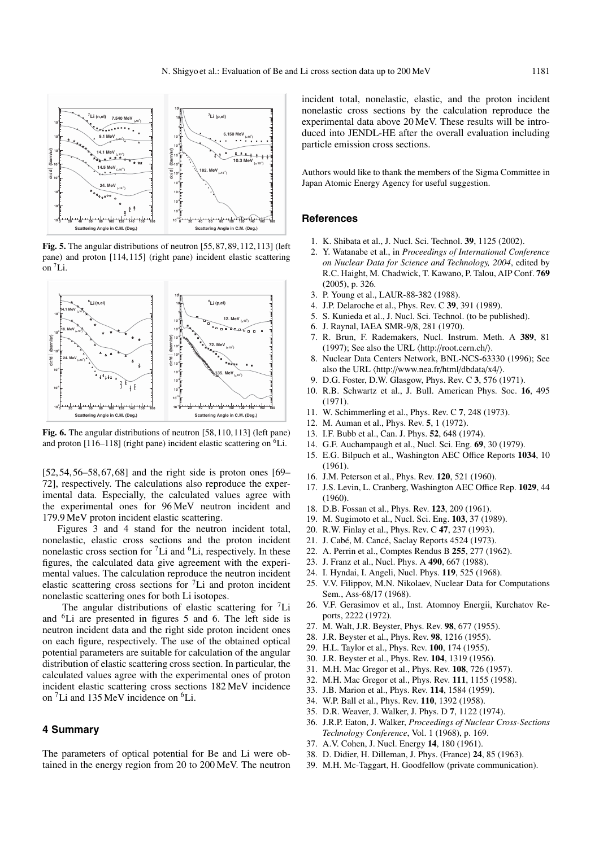

**Fig. 5.** The angular distributions of neutron [55, 87, 89, 112, 113] (left pane) and proton [114, 115] (right pane) incident elastic scattering on 7Li.



**Fig. 6.** The angular distributions of neutron [58, 110, 113] (left pane) and proton [116–118] (right pane) incident elastic scattering on 6Li.

[52, 54, 56–58, 67, 68] and the right side is proton ones [69– 72], respectively. The calculations also reproduce the experimental data. Especially, the calculated values agree with the experimental ones for 96 MeV neutron incident and 179.9 MeV proton incident elastic scattering.

Figures 3 and 4 stand for the neutron incident total, nonelastic, elastic cross sections and the proton incident nonelastic cross section for  ${}^{7}$ Li and  ${}^{6}$ Li, respectively. In these figures, the calculated data give agreement with the experimental values. The calculation reproduce the neutron incident elastic scattering cross sections for 7Li and proton incident nonelastic scattering ones for both Li isotopes.

The angular distributions of elastic scattering for  ${}^{7}$ Li and 6Li are presented in figures 5 and 6. The left side is neutron incident data and the right side proton incident ones on each figure, respectively. The use of the obtained optical potential parameters are suitable for calculation of the angular distribution of elastic scattering cross section. In particular, the calculated values agree with the experimental ones of proton incident elastic scattering cross sections 182 MeV incidence on <sup>7</sup>Li and 135 MeV incidence on <sup>6</sup>Li.

#### **4 Summary**

The parameters of optical potential for Be and Li were obtained in the energy region from 20 to 200 MeV. The neutron incident total, nonelastic, elastic, and the proton incident nonelastic cross sections by the calculation reproduce the experimental data above 20 MeV. These results will be introduced into JENDL-HE after the overall evaluation including particle emission cross sections.

Authors would like to thank the members of the Sigma Committee in Japan Atomic Energy Agency for useful suggestion.

#### **References**

- 1. K. Shibata et al., J. Nucl. Sci. Technol. **39**, 1125 (2002).
- 2. Y. Watanabe et al., in *Proceedings of International Conference on Nuclear Data for Science and Technology, 2004*, edited by R.C. Haight, M. Chadwick, T. Kawano, P. Talou, AIP Conf. **769** (2005), p. 326.
- 3. P. Young et al., LAUR-88-382 (1988).
- 4. J.P. Delaroche et al., Phys. Rev. C **39**, 391 (1989).
- 5. S. Kunieda et al., J. Nucl. Sci. Technol. (to be published).
- 6. J. Raynal, IAEA SMR-9/8, 281 (1970).
- 7. R. Brun, F. Rademakers, Nucl. Instrum. Meth. A **389**, 81 (1997); See also the URL  $\langle$ http://root.cern.ch/ $\rangle$ .
- 8. Nuclear Data Centers Network, BNL-NCS-63330 (1996); See also the URL (http://www.nea.fr/html/dbdata/x4/).
- 9. D.G. Foster, D.W. Glasgow, Phys. Rev. C **3**, 576 (1971).
- 10. R.B. Schwartz et al., J. Bull. American Phys. Soc. **16**, 495 (1971).
- 11. W. Schimmerling et al., Phys. Rev. C **7**, 248 (1973).
- 12. M. Auman et al., Phys. Rev. **5**, 1 (1972).
- 13. I.F. Bubb et al., Can. J. Phys. **52**, 648 (1974).
- 14. G.F. Auchampaugh et al., Nucl. Sci. Eng. **69**, 30 (1979).
- 15. E.G. Bilpuch et al., Washington AEC Office Reports **1034**, 10 (1961).
- 16. J.M. Peterson et al., Phys. Rev. **120**, 521 (1960).
- 17. J.S. Levin, L. Cranberg, Washington AEC Office Rep. **1029**, 44 (1960).
- 18. D.B. Fossan et al., Phys. Rev. **123**, 209 (1961).
- 19. M. Sugimoto et al., Nucl. Sci. Eng. **103**, 37 (1989).
- 20. R.W. Finlay et al., Phys. Rev. C **47**, 237 (1993).
- 21. J. Cabé, M. Cancé, Saclay Reports 4524 (1973).
- 22. A. Perrin et al., Comptes Rendus B **255**, 277 (1962).
- 23. J. Franz et al., Nucl. Phys. A **490**, 667 (1988).
- 24. I. Hyndai, I. Angeli, Nucl. Phys. **119**, 525 (1968).
- 25. V.V. Filippov, M.N. Nikolaev, Nuclear Data for Computations Sem., Ass-68/17 (1968).
- 26. V.F. Gerasimov et al., Inst. Atomnoy Energii, Kurchatov Reports, 2222 (1972).
- 27. M. Walt, J.R. Beyster, Phys. Rev. **98**, 677 (1955).
- 28. J.R. Beyster et al., Phys. Rev. **98**, 1216 (1955).
- 29. H.L. Taylor et al., Phys. Rev. **100**, 174 (1955).
- 30. J.R. Beyster et al., Phys. Rev. **104**, 1319 (1956).
- 31. M.H. Mac Gregor et al., Phys. Rev. **108**, 726 (1957).
- 32. M.H. Mac Gregor et al., Phys. Rev. **111**, 1155 (1958).
- 33. J.B. Marion et al., Phys. Rev. **114**, 1584 (1959).
- 34. W.P. Ball et al., Phys. Rev. **110**, 1392 (1958).
- 35. D.R. Weaver, J. Walker, J. Phys. D **7**, 1122 (1974).
- 36. J.R.P. Eaton, J. Walker, *Proceedings of Nuclear Cross-Sections Technology Conference*, Vol. 1 (1968), p. 169.
- 37. A.V. Cohen, J. Nucl. Energy **14**, 180 (1961).
- 38. D. Didier, H. Dilleman, J. Phys. (France) **24**, 85 (1963).
- 39. M.H. Mc-Taggart, H. Goodfellow (private communication).